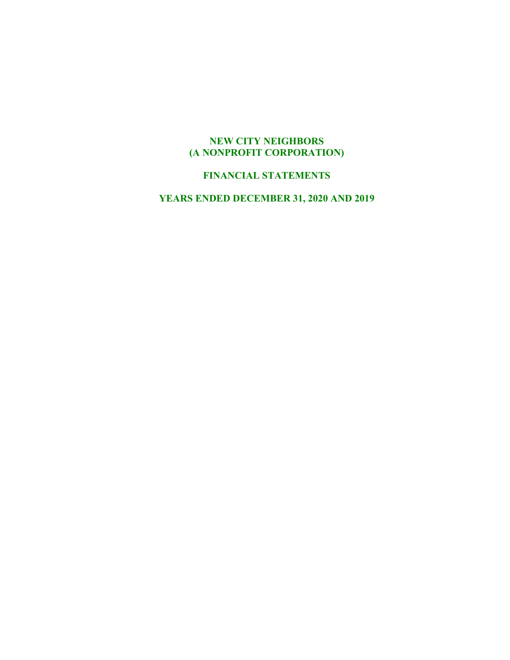# **NEW CITY NEIGHBORS (A NONPROFIT CORPORATION)**

# **FINANCIAL STATEMENTS**

**YEARS ENDED DECEMBER 31, 2020 AND 2019**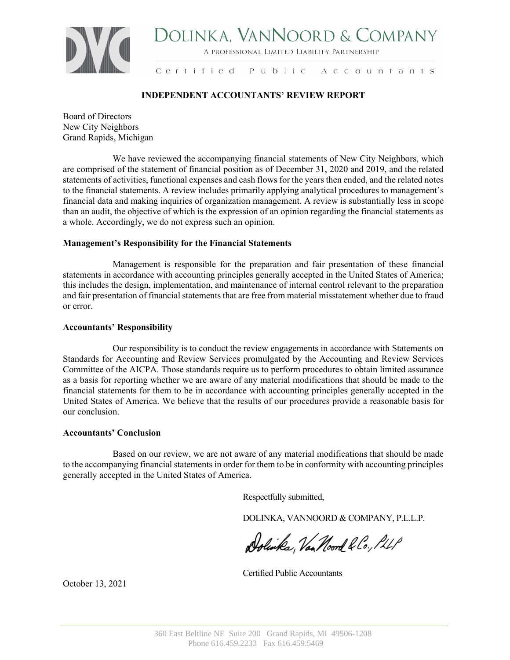

# DOLINKA, VANNOORD & COMPANY

A PROFESSIONAL LIMITED LIABILITY PARTNERSHIP

Certified Public Accountants

# **INDEPENDENT ACCOUNTANTS' REVIEW REPORT**

Board of Directors New City Neighbors Grand Rapids, Michigan

We have reviewed the accompanying financial statements of New City Neighbors, which are comprised of the statement of financial position as of December 31, 2020 and 2019, and the related statements of activities, functional expenses and cash flows for the years then ended, and the related notes to the financial statements. A review includes primarily applying analytical procedures to management's financial data and making inquiries of organization management. A review is substantially less in scope than an audit, the objective of which is the expression of an opinion regarding the financial statements as a whole. Accordingly, we do not express such an opinion.

# **Management's Responsibility for the Financial Statements**

Management is responsible for the preparation and fair presentation of these financial statements in accordance with accounting principles generally accepted in the United States of America; this includes the design, implementation, and maintenance of internal control relevant to the preparation and fair presentation of financial statements that are free from material misstatement whether due to fraud or error.

# **Accountants' Responsibility**

Our responsibility is to conduct the review engagements in accordance with Statements on Standards for Accounting and Review Services promulgated by the Accounting and Review Services Committee of the AICPA. Those standards require us to perform procedures to obtain limited assurance as a basis for reporting whether we are aware of any material modifications that should be made to the financial statements for them to be in accordance with accounting principles generally accepted in the United States of America. We believe that the results of our procedures provide a reasonable basis for our conclusion.

# **Accountants' Conclusion**

Based on our review, we are not aware of any material modifications that should be made to the accompanying financial statements in order for them to be in conformity with accounting principles generally accepted in the United States of America.

Respectfully submitted,

DOLINKA, VANNOORD & COMPANY, P.L.L.P.

Dolinka, Van Noord & Co., PLLP

Certified Public Accountants

October 13, 2021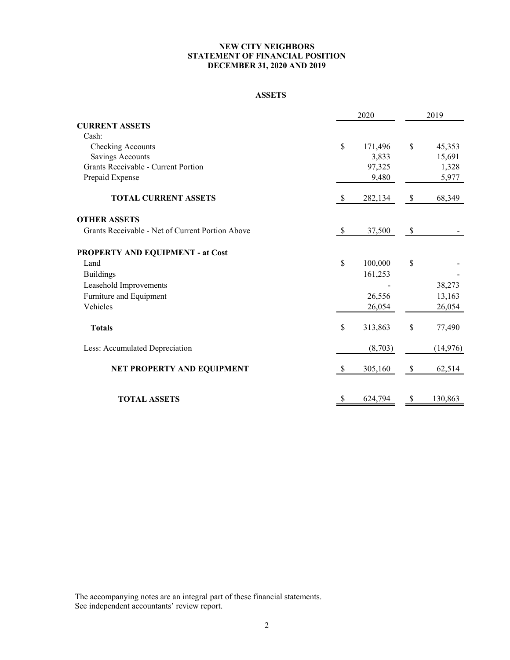# **NEW CITY NEIGHBORS STATEMENT OF FINANCIAL POSITION DECEMBER 31, 2020 AND 2019**

#### **ASSETS**

|                                                  |              | 2020    | 2019 |           |  |  |
|--------------------------------------------------|--------------|---------|------|-----------|--|--|
| <b>CURRENT ASSETS</b>                            |              |         |      |           |  |  |
| Cash:                                            |              |         |      |           |  |  |
| Checking Accounts                                | \$           | 171,496 | \$   | 45,353    |  |  |
| <b>Savings Accounts</b>                          |              | 3,833   |      | 15,691    |  |  |
| Grants Receivable - Current Portion              |              | 97,325  |      | 1,328     |  |  |
| Prepaid Expense                                  |              | 9,480   |      | 5,977     |  |  |
| <b>TOTAL CURRENT ASSETS</b>                      | \$           | 282,134 | \$   | 68,349    |  |  |
| <b>OTHER ASSETS</b>                              |              |         |      |           |  |  |
| Grants Receivable - Net of Current Portion Above | \$           | 37,500  | \$   |           |  |  |
| PROPERTY AND EQUIPMENT - at Cost                 |              |         |      |           |  |  |
| Land                                             | $\mathbb{S}$ | 100,000 | \$   |           |  |  |
| <b>Buildings</b>                                 |              | 161,253 |      |           |  |  |
| Leasehold Improvements                           |              |         |      | 38,273    |  |  |
| Furniture and Equipment                          |              | 26,556  |      | 13,163    |  |  |
| Vehicles                                         |              | 26,054  |      | 26,054    |  |  |
| <b>Totals</b>                                    | \$           | 313,863 | \$   | 77,490    |  |  |
| Less: Accumulated Depreciation                   |              | (8,703) |      | (14, 976) |  |  |
| NET PROPERTY AND EQUIPMENT                       | \$           | 305,160 | $\$$ | 62,514    |  |  |
| <b>TOTAL ASSETS</b>                              | \$           | 624,794 | \$   | 130,863   |  |  |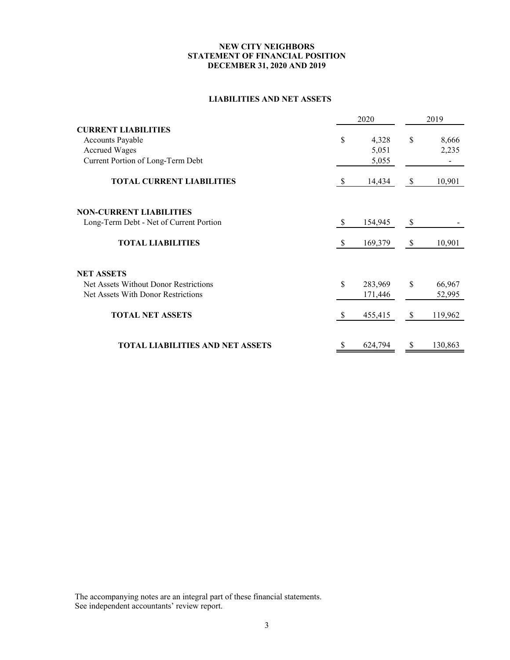# **NEW CITY NEIGHBORS STATEMENT OF FINANCIAL POSITION DECEMBER 31, 2020 AND 2019**

# **LIABILITIES AND NET ASSETS**

|                                         |          | 2020    | 2019          |
|-----------------------------------------|----------|---------|---------------|
| <b>CURRENT LIABILITIES</b>              |          |         |               |
| <b>Accounts Payable</b>                 | \$       | 4,328   | \$<br>8,666   |
| <b>Accrued Wages</b>                    |          | 5,051   | 2,235         |
| Current Portion of Long-Term Debt       |          | 5,055   |               |
| <b>TOTAL CURRENT LIABILITIES</b>        | <b>S</b> | 14,434  | \$<br>10,901  |
| <b>NON-CURRENT LIABILITIES</b>          |          |         |               |
| Long-Term Debt - Net of Current Portion | -S       | 154,945 | \$            |
| <b>TOTAL LIABILITIES</b>                | -S       | 169,379 | \$<br>10,901  |
| <b>NET ASSETS</b>                       |          |         |               |
| Net Assets Without Donor Restrictions   | \$       | 283,969 | \$<br>66,967  |
| Net Assets With Donor Restrictions      |          | 171,446 | 52,995        |
| <b>TOTAL NET ASSETS</b>                 | \$.      | 455,415 | \$<br>119,962 |
| <b>TOTAL LIABILITIES AND NET ASSETS</b> | S        | 624,794 | \$<br>130,863 |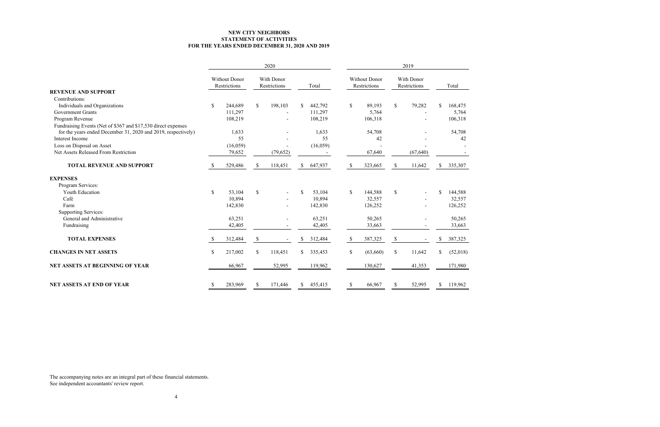|                                                               |               |                                      |               | 2020                       |               |          |                    |                                                                    | 2019          |           |               |          |
|---------------------------------------------------------------|---------------|--------------------------------------|---------------|----------------------------|---------------|----------|--------------------|--------------------------------------------------------------------|---------------|-----------|---------------|----------|
|                                                               |               | <b>Without Donor</b><br>Restrictions |               | With Donor<br>Restrictions |               | Total    |                    | With Donor<br><b>Without Donor</b><br>Restrictions<br>Restrictions |               |           |               | Total    |
| <b>REVENUE AND SUPPORT</b>                                    |               |                                      |               |                            |               |          |                    |                                                                    |               |           |               |          |
| Contributions:                                                |               |                                      |               |                            |               |          |                    |                                                                    |               |           |               |          |
| Individuals and Organizations                                 | $\sqrt$       | 244,689                              | \$            | 198,103                    | \$            | 442,792  | $\mathbf{\hat{S}}$ | 89,193                                                             | \$            | 79,282    | \$            | 168,475  |
| <b>Government Grants</b>                                      |               | 111,297                              |               | $\blacksquare$             |               | 111,297  |                    | 5,764                                                              |               |           |               | 5,764    |
| Program Revenue                                               |               | 108,219                              |               | $\overline{a}$             |               | 108,219  |                    | 106,318                                                            |               |           |               | 106,318  |
| Fundraising Events (Net of \$367 and \$17,530 direct expenses |               |                                      |               |                            |               |          |                    |                                                                    |               |           |               |          |
| for the years ended December 31, 2020 and 2019, respectively) |               | 1,633                                |               |                            |               | 1,633    |                    | 54,708                                                             |               |           |               | 54,708   |
| Interest Income                                               |               | 55                                   |               |                            |               | 55       |                    | 42                                                                 |               |           |               | 42       |
| Loss on Disposal on Asset                                     |               | (16,059)                             |               |                            |               | (16,059) |                    |                                                                    |               |           |               |          |
| Net Assets Released From Restriction                          |               | 79,652                               |               | (79, 652)                  |               |          |                    | 67,640                                                             |               | (67, 640) |               |          |
| <b>TOTAL REVENUE AND SUPPORT</b>                              | <sup>S</sup>  | 529,486                              | <sup>\$</sup> | 118,451                    | <sup>S</sup>  | 647,937  | <sup>S</sup>       | 323,665                                                            | <sup>\$</sup> | 11,642    | <sup>S</sup>  | 335,307  |
| <b>EXPENSES</b>                                               |               |                                      |               |                            |               |          |                    |                                                                    |               |           |               |          |
| Program Services:                                             |               |                                      |               |                            |               |          |                    |                                                                    |               |           |               |          |
| Youth Education                                               | $\mathbb{S}$  | 53,104                               | \$            | $\blacksquare$             | \$            | 53,104   | \$                 | 144,588                                                            | $\mathcal{S}$ |           | \$            | 144,588  |
| Café                                                          |               | 10,894                               |               |                            |               | 10,894   |                    | 32,557                                                             |               |           |               | 32,557   |
| Farm                                                          |               | 142,830                              |               |                            |               | 142,830  |                    | 126,252                                                            |               |           |               | 126,252  |
| <b>Supporting Services:</b>                                   |               |                                      |               |                            |               |          |                    |                                                                    |               |           |               |          |
| General and Administrative                                    |               | 63,251                               |               |                            |               | 63,251   |                    | 50,265                                                             |               |           |               | 50,265   |
| Fundraising                                                   |               | 42,405                               |               |                            |               | 42,405   |                    | 33,663                                                             |               |           |               | 33,663   |
| <b>TOTAL EXPENSES</b>                                         | <sup>\$</sup> | 312,484                              | <sup>\$</sup> |                            | \$            | 312,484  | <sup>\$</sup>      | 387,325                                                            | $\mathcal{S}$ |           | \$            | 387,325  |
| <b>CHANGES IN NET ASSETS</b>                                  | \$            | 217,002                              | \$            | 118,451                    | S.            | 335,453  | \$                 | (63,660)                                                           | \$            | 11,642    | <sup>\$</sup> | (52,018) |
| <b>NET ASSETS AT BEGINNING OF YEAR</b>                        |               | 66,967                               |               | 52,995                     |               | 119,962  |                    | 130,627                                                            |               | 41,353    |               | 171,980  |
| <b>NET ASSETS AT END OF YEAR</b>                              |               | 283,969                              | S             | 171,446                    | <sup>\$</sup> | 455,415  |                    | 66,967                                                             |               | 52,995    | \$.           | 119,962  |

The accompanying notes are an integral part of these financial statements.

See independent accountants' review report.

# **NEW CITY NEIGHBORS FOR THE YEARS ENDED DECEMBER 31, 2020 AND 2019 STATEMENT OF ACTIVITIES**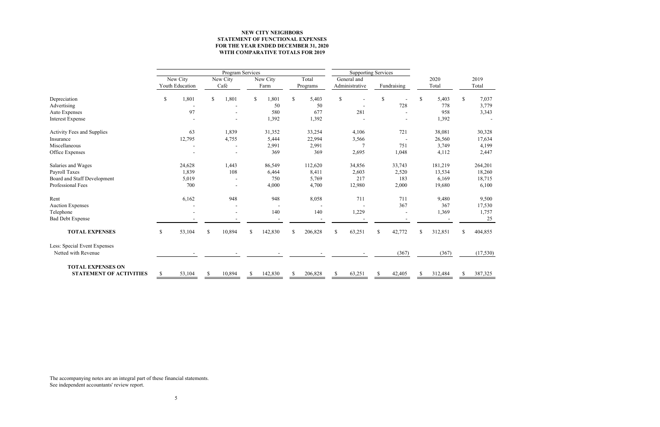|                                   |              |                 | Program Services |          |    | <b>Supporting Services</b> |               |          |              |                |               |             |               |         |              |           |
|-----------------------------------|--------------|-----------------|------------------|----------|----|----------------------------|---------------|----------|--------------|----------------|---------------|-------------|---------------|---------|--------------|-----------|
|                                   |              | New City        |                  | New City |    | New City                   |               | Total    |              | General and    |               |             |               | 2020    |              | 2019      |
|                                   |              | Youth Education |                  | Café     |    | Farm                       |               | Programs |              | Administrative |               | Fundraising |               | Total   |              | Total     |
| Depreciation                      | $\mathbb{S}$ | 1,801           | $\mathbb{S}$     | 1,801    | \$ | 1,801                      | \$            | 5,403    | \$           |                | $\mathbb{S}$  |             | <sup>\$</sup> | 5,403   | $\mathbb{S}$ | 7,037     |
| Advertising                       |              |                 |                  |          |    | 50                         |               | 50       |              |                |               | 728         |               | 778     |              | 3,779     |
| Auto Expenses                     |              | 97              |                  |          |    | 580                        |               | 677      |              | 281            |               |             |               | 958     |              | 3,343     |
| <b>Interest Expense</b>           |              |                 |                  |          |    | 1,392                      |               | 1,392    |              |                |               |             |               | 1,392   |              |           |
| <b>Activity Fees and Supplies</b> |              | 63              |                  | 1,839    |    | 31,352                     |               | 33,254   |              | 4,106          |               | 721         |               | 38,081  |              | 30,328    |
| Insurance                         |              | 12,795          |                  | 4,755    |    | 5,444                      |               | 22,994   |              | 3,566          |               |             |               | 26,560  |              | 17,634    |
| Miscellaneous                     |              |                 |                  |          |    | 2,991                      |               | 2,991    |              | 7              |               | 751         |               | 3,749   |              | 4,199     |
| Office Expenses                   |              |                 |                  |          |    | 369                        |               | 369      |              | 2,695          |               | 1,048       |               | 4,112   |              | 2,447     |
| Salaries and Wages                |              | 24,628          |                  | 1,443    |    | 86,549                     |               | 112,620  |              | 34,856         |               | 33,743      |               | 181,219 |              | 264,201   |
| Payroll Taxes                     |              | 1,839           |                  | 108      |    | 6,464                      |               | 8,411    |              | 2,603          |               | 2,520       |               | 13,534  |              | 18,260    |
| Board and Staff Development       |              | 5,019           |                  |          |    | 750                        |               | 5,769    |              | 217            |               | 183         |               | 6,169   |              | 18,715    |
| Professional Fees                 |              | 700             |                  |          |    | 4,000                      |               | 4,700    |              | 12,980         |               | 2,000       |               | 19,680  |              | 6,100     |
| Rent                              |              | 6,162           |                  | 948      |    | 948                        |               | 8,058    |              | 711            |               | 711         |               | 9,480   |              | 9,500     |
| <b>Auction Expenses</b>           |              |                 |                  |          |    |                            |               |          |              |                |               | 367         |               | 367     |              | 17,530    |
| Telephone                         |              |                 |                  |          |    | 140                        |               | 140      |              | 1,229          |               |             |               | 1,369   |              | 1,757     |
| <b>Bad Debt Expense</b>           |              |                 |                  |          |    |                            |               |          |              |                |               |             |               |         |              | 25        |
| <b>TOTAL EXPENSES</b>             | $\mathbb{S}$ | 53,104          | \$               | 10,894   | \$ | 142,830                    | $\mathbb{S}$  | 206,828  | $\mathbb{S}$ | 63,251         | $\mathcal{S}$ | 42,772      | \$.           | 312,851 | \$           | 404,855   |
| Less: Special Event Expenses      |              |                 |                  |          |    |                            |               |          |              |                |               |             |               |         |              |           |
| Netted with Revenue               |              |                 |                  |          |    |                            |               |          |              |                |               | (367)       |               | (367)   |              | (17, 530) |
| <b>TOTAL EXPENSES ON</b>          |              |                 |                  |          |    |                            |               |          |              |                |               |             |               |         |              |           |
| <b>STATEMENT OF ACTIVITIES</b>    |              | 53,104          |                  | 10,894   |    | 142,830                    | <sup>\$</sup> | 206,828  | S            | 63,251         | \$.           | 42,405      |               | 312,484 |              | 387,325   |

The accompanying notes are an integral part of these financial statements. See independent accountants' review report.

# **FOR THE YEAR ENDED DECEMBER 31, 2020 STATEMENT OF FUNCTIONAL EXPENSES NEW CITY NEIGHBORS WITH COMPARATIVE TOTALS FOR 2019**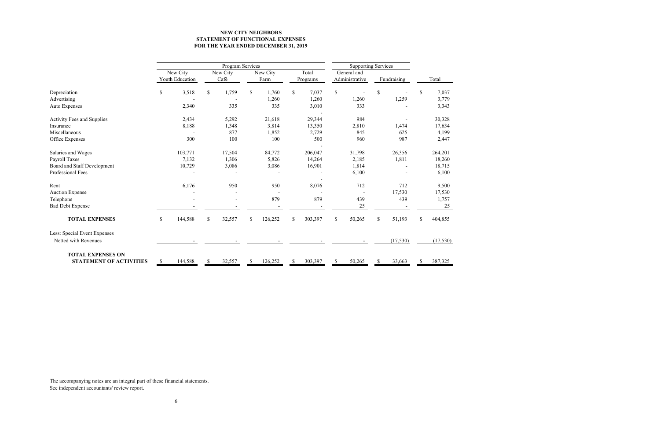|                                                            |               | Program Services            |    |                  |                  | Supporting Services |                   |                               |               |             |    |          |
|------------------------------------------------------------|---------------|-----------------------------|----|------------------|------------------|---------------------|-------------------|-------------------------------|---------------|-------------|----|----------|
|                                                            |               | New City<br>Youth Education |    | New City<br>Café | New City<br>Farm |                     | Total<br>Programs | General and<br>Administrative |               | Fundraising |    | Total    |
| Depreciation                                               | $\mathbb{S}$  | 3,518                       | \$ | 1,759            | \$<br>1,760      | \$                  | 7,037             | \$<br>$\blacksquare$          | \$            |             | \$ | 7,037    |
| Advertising                                                |               |                             |    |                  | 1,260            |                     | 1,260             | 1,260                         |               | 1,259       |    | 3,779    |
| Auto Expenses                                              |               | 2,340                       |    | 335              | 335              |                     | 3,010             | 333                           |               |             |    | 3,343    |
| Activity Fees and Supplies                                 |               | 2,434                       |    | 5,292            | 21,618           |                     | 29,344            | 984                           |               |             |    | 30,328   |
| Insurance                                                  |               | 8,188                       |    | 1,348            | 3,814            |                     | 13,350            | 2,810                         |               | 1,474       |    | 17,634   |
| Miscellaneous                                              |               |                             |    | 877              | 1,852            |                     | 2,729             | 845                           |               | 625         |    | 4,199    |
| Office Expenses                                            |               | 300                         |    | 100              | 100              |                     | 500               | 960                           |               | 987         |    | 2,447    |
| Salaries and Wages                                         |               | 103,771                     |    | 17,504           | 84,772           |                     | 206,047           | 31,798                        |               | 26,356      |    | 264,201  |
| Payroll Taxes                                              |               | 7,132                       |    | 1,306            | 5,826            |                     | 14,264            | 2,185                         |               | 1,811       |    | 18,260   |
| Board and Staff Development                                |               | 10,729                      |    | 3,086            | 3,086            |                     | 16,901            | 1,814                         |               |             |    | 18,715   |
| Professional Fees                                          |               |                             |    |                  |                  |                     |                   | 6,100                         |               |             |    | 6,100    |
| Rent                                                       |               | 6,176                       |    | 950              | 950              |                     | 8,076             | 712                           |               | 712         |    | 9,500    |
| <b>Auction Expense</b>                                     |               |                             |    |                  |                  |                     |                   |                               |               | 17,530      |    | 17,530   |
| Telephone                                                  |               |                             |    |                  | 879              |                     | 879               | 439                           |               | 439         |    | 1,757    |
| <b>Bad Debt Expense</b>                                    |               |                             |    |                  |                  |                     |                   | 25                            |               |             |    | 25       |
| <b>TOTAL EXPENSES</b>                                      | $\mathbb{S}$  | 144,588                     | \$ | 32,557           | \$<br>126,252    | \$                  | 303,397           | \$<br>50,265                  | \$            | 51,193      | \$ | 404,855  |
| Less: Special Event Expenses<br>Netted with Revenues       |               |                             |    |                  |                  |                     |                   |                               |               | (17, 530)   |    | (17,530) |
|                                                            |               |                             |    |                  |                  |                     |                   |                               |               |             |    |          |
| <b>TOTAL EXPENSES ON</b><br><b>STATEMENT OF ACTIVITIES</b> | <sup>\$</sup> | 144,588                     | S  | 32,557           | \$<br>126,252    | \$                  | 303,397           | \$<br>50,265                  | <sup>\$</sup> | 33,663      | \$ | 387,325  |

The accompanying notes are an integral part of these financial statements. See independent accountants' review report.

# **STATEMENT OF FUNCTIONAL EXPENSES NEW CITY NEIGHBORS FOR THE YEAR ENDED DECEMBER 31, 2019**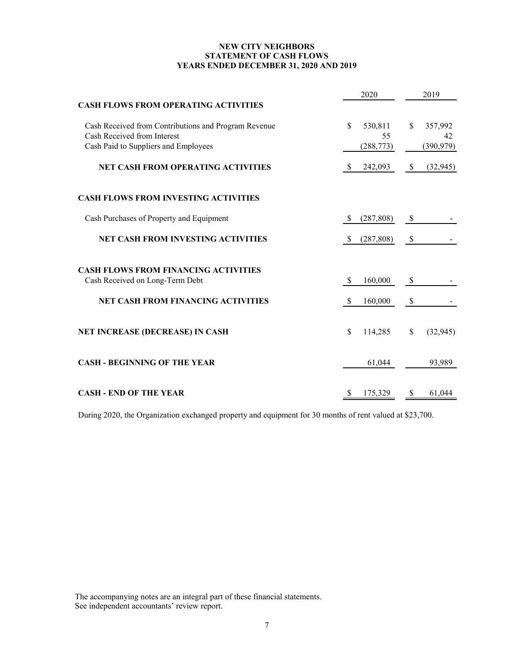# **NEW CITY NEIGHBORS STATEMENT OF CASH FLOWS YEARS ENDED DECEMBER 31, 2020 AND 2019**

|                                                      |               | 2020       |              | 2019       |
|------------------------------------------------------|---------------|------------|--------------|------------|
| <b>CASH FLOWS FROM OPERATING ACTIVITIES</b>          |               |            |              |            |
| Cash Received from Contributions and Program Revenue | \$            | 530,811    | \$           | 357,992    |
| Cash Received from Interest                          |               | 55         |              | 42         |
| Cash Paid to Suppliers and Employees                 |               | (288, 773) |              | (390, 979) |
| <b>NET CASH FROM OPERATING ACTIVITIES</b>            | <sup>S</sup>  | 242,093    | $\mathbb{S}$ | (32, 945)  |
| <b>CASH FLOWS FROM INVESTING ACTIVITIES</b>          |               |            |              |            |
| Cash Purchases of Property and Equipment             | S             | (287, 808) | \$           |            |
| <b>NET CASH FROM INVESTING ACTIVITIES</b>            | S             | (287, 808) | \$           |            |
| <b>CASH FLOWS FROM FINANCING ACTIVITIES</b>          |               |            |              |            |
| Cash Received on Long-Term Debt                      | <sup>\$</sup> | 160,000    | \$           |            |
| <b>NET CASH FROM FINANCING ACTIVITIES</b>            | <sup>\$</sup> | 160,000    | \$           |            |
| <b>NET INCREASE (DECREASE) IN CASH</b>               | \$            | 114,285    | \$           | (32, 945)  |
| <b>CASH - BEGINNING OF THE YEAR</b>                  |               | 61,044     |              | 93,989     |
| <b>CASH - END OF THE YEAR</b>                        |               | 175,329    |              | 61,044     |

During 2020, the Organization exchanged property and equipment for 30 months of rent valued at \$23,700.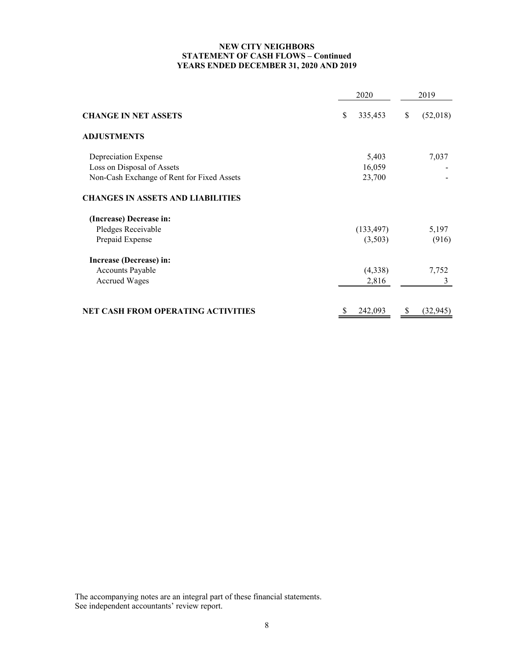# **NEW CITY NEIGHBORS STATEMENT OF CASH FLOWS – Continued YEARS ENDED DECEMBER 31, 2020 AND 2019**

|                                            | 2020          | 2019           |
|--------------------------------------------|---------------|----------------|
| <b>CHANGE IN NET ASSETS</b>                | 335,453<br>\$ | \$<br>(52,018) |
| <b>ADJUSTMENTS</b>                         |               |                |
| Depreciation Expense                       | 5,403         | 7,037          |
| Loss on Disposal of Assets                 | 16,059        |                |
| Non-Cash Exchange of Rent for Fixed Assets | 23,700        |                |
| <b>CHANGES IN ASSETS AND LIABILITIES</b>   |               |                |
| (Increase) Decrease in:                    |               |                |
| Pledges Receivable                         | (133, 497)    | 5,197          |
| Prepaid Expense                            | (3,503)       | (916)          |
| Increase (Decrease) in:                    |               |                |
| Accounts Payable                           | (4,338)       | 7,752          |
| <b>Accrued Wages</b>                       | 2,816         | 3              |
| <b>NET CASH FROM OPERATING ACTIVITIES</b>  | 242,093       | (32, 945)      |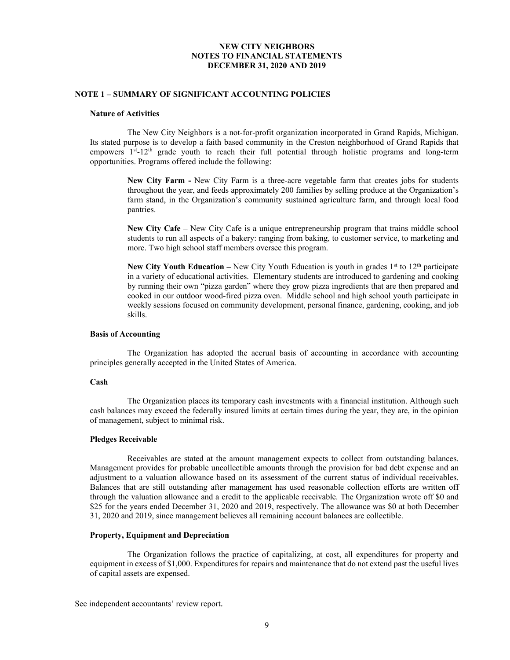#### **NOTE 1 – SUMMARY OF SIGNIFICANT ACCOUNTING POLICIES**

#### **Nature of Activities**

The New City Neighbors is a not-for-profit organization incorporated in Grand Rapids, Michigan. Its stated purpose is to develop a faith based community in the Creston neighborhood of Grand Rapids that empowers  $1<sup>st</sup> - 12<sup>th</sup>$  grade youth to reach their full potential through holistic programs and long-term opportunities. Programs offered include the following:

> **New City Farm -** New City Farm is a three-acre vegetable farm that creates jobs for students throughout the year, and feeds approximately 200 families by selling produce at the Organization's farm stand, in the Organization's community sustained agriculture farm, and through local food pantries.

> **New City Cafe –** New City Cafe is a unique entrepreneurship program that trains middle school students to run all aspects of a bakery: ranging from baking, to customer service, to marketing and more. Two high school staff members oversee this program.

> **New City Youth Education – New City Youth Education is youth in grades**  $1<sup>st</sup>$  **to**  $12<sup>th</sup>$  **participate** in a variety of educational activities. Elementary students are introduced to gardening and cooking by running their own "pizza garden" where they grow pizza ingredients that are then prepared and cooked in our outdoor wood-fired pizza oven. Middle school and high school youth participate in weekly sessions focused on community development, personal finance, gardening, cooking, and job skills.

#### **Basis of Accounting**

The Organization has adopted the accrual basis of accounting in accordance with accounting principles generally accepted in the United States of America.

#### **Cash**

The Organization places its temporary cash investments with a financial institution. Although such cash balances may exceed the federally insured limits at certain times during the year, they are, in the opinion of management, subject to minimal risk.

#### **Pledges Receivable**

Receivables are stated at the amount management expects to collect from outstanding balances. Management provides for probable uncollectible amounts through the provision for bad debt expense and an adjustment to a valuation allowance based on its assessment of the current status of individual receivables. Balances that are still outstanding after management has used reasonable collection efforts are written off through the valuation allowance and a credit to the applicable receivable. The Organization wrote off \$0 and \$25 for the years ended December 31, 2020 and 2019, respectively. The allowance was \$0 at both December 31, 2020 and 2019, since management believes all remaining account balances are collectible.

## **Property, Equipment and Depreciation**

The Organization follows the practice of capitalizing, at cost, all expenditures for property and equipment in excess of \$1,000. Expenditures for repairs and maintenance that do not extend past the useful lives of capital assets are expensed.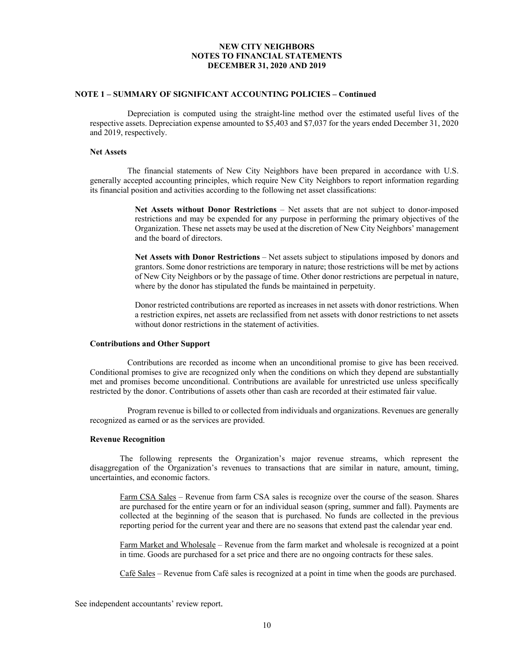#### **NOTE 1 – SUMMARY OF SIGNIFICANT ACCOUNTING POLICIES – Continued**

Depreciation is computed using the straight-line method over the estimated useful lives of the respective assets. Depreciation expense amounted to \$5,403 and \$7,037 for the years ended December 31, 2020 and 2019, respectively.

#### **Net Assets**

The financial statements of New City Neighbors have been prepared in accordance with U.S. generally accepted accounting principles, which require New City Neighbors to report information regarding its financial position and activities according to the following net asset classifications:

> **Net Assets without Donor Restrictions** – Net assets that are not subject to donor-imposed restrictions and may be expended for any purpose in performing the primary objectives of the Organization. These net assets may be used at the discretion of New City Neighbors' management and the board of directors.

> **Net Assets with Donor Restrictions** – Net assets subject to stipulations imposed by donors and grantors. Some donor restrictions are temporary in nature; those restrictions will be met by actions of New City Neighbors or by the passage of time. Other donor restrictions are perpetual in nature, where by the donor has stipulated the funds be maintained in perpetuity.

> Donor restricted contributions are reported as increases in net assets with donor restrictions. When a restriction expires, net assets are reclassified from net assets with donor restrictions to net assets without donor restrictions in the statement of activities.

#### **Contributions and Other Support**

Contributions are recorded as income when an unconditional promise to give has been received. Conditional promises to give are recognized only when the conditions on which they depend are substantially met and promises become unconditional. Contributions are available for unrestricted use unless specifically restricted by the donor. Contributions of assets other than cash are recorded at their estimated fair value.

Program revenue is billed to or collected from individuals and organizations. Revenues are generally recognized as earned or as the services are provided.

#### **Revenue Recognition**

The following represents the Organization's major revenue streams, which represent the disaggregation of the Organization's revenues to transactions that are similar in nature, amount, timing, uncertainties, and economic factors.

Farm CSA Sales – Revenue from farm CSA sales is recognize over the course of the season. Shares are purchased for the entire yearn or for an individual season (spring, summer and fall). Payments are collected at the beginning of the season that is purchased. No funds are collected in the previous reporting period for the current year and there are no seasons that extend past the calendar year end.

Farm Market and Wholesale – Revenue from the farm market and wholesale is recognized at a point in time. Goods are purchased for a set price and there are no ongoing contracts for these sales.

Café Sales – Revenue from Café sales is recognized at a point in time when the goods are purchased.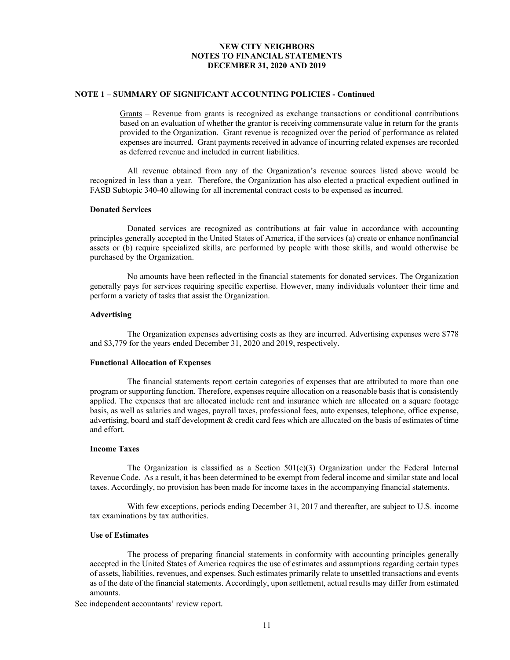#### **NOTE 1 – SUMMARY OF SIGNIFICANT ACCOUNTING POLICIES - Continued**

Grants – Revenue from grants is recognized as exchange transactions or conditional contributions based on an evaluation of whether the grantor is receiving commensurate value in return for the grants provided to the Organization. Grant revenue is recognized over the period of performance as related expenses are incurred. Grant payments received in advance of incurring related expenses are recorded as deferred revenue and included in current liabilities.

All revenue obtained from any of the Organization's revenue sources listed above would be recognized in less than a year. Therefore, the Organization has also elected a practical expedient outlined in FASB Subtopic 340-40 allowing for all incremental contract costs to be expensed as incurred.

#### **Donated Services**

Donated services are recognized as contributions at fair value in accordance with accounting principles generally accepted in the United States of America, if the services (a) create or enhance nonfinancial assets or (b) require specialized skills, are performed by people with those skills, and would otherwise be purchased by the Organization.

No amounts have been reflected in the financial statements for donated services. The Organization generally pays for services requiring specific expertise. However, many individuals volunteer their time and perform a variety of tasks that assist the Organization.

#### **Advertising**

The Organization expenses advertising costs as they are incurred. Advertising expenses were \$778 and \$3,779 for the years ended December 31, 2020 and 2019, respectively.

#### **Functional Allocation of Expenses**

The financial statements report certain categories of expenses that are attributed to more than one program or supporting function. Therefore, expenses require allocation on a reasonable basis that is consistently applied. The expenses that are allocated include rent and insurance which are allocated on a square footage basis, as well as salaries and wages, payroll taxes, professional fees, auto expenses, telephone, office expense, advertising, board and staff development & credit card fees which are allocated on the basis of estimates of time and effort.

#### **Income Taxes**

The Organization is classified as a Section  $501(c)(3)$  Organization under the Federal Internal Revenue Code. As a result, it has been determined to be exempt from federal income and similar state and local taxes. Accordingly, no provision has been made for income taxes in the accompanying financial statements.

With few exceptions, periods ending December 31, 2017 and thereafter, are subject to U.S. income tax examinations by tax authorities.

## **Use of Estimates**

The process of preparing financial statements in conformity with accounting principles generally accepted in the United States of America requires the use of estimates and assumptions regarding certain types of assets, liabilities, revenues, and expenses. Such estimates primarily relate to unsettled transactions and events as of the date of the financial statements. Accordingly, upon settlement, actual results may differ from estimated amounts.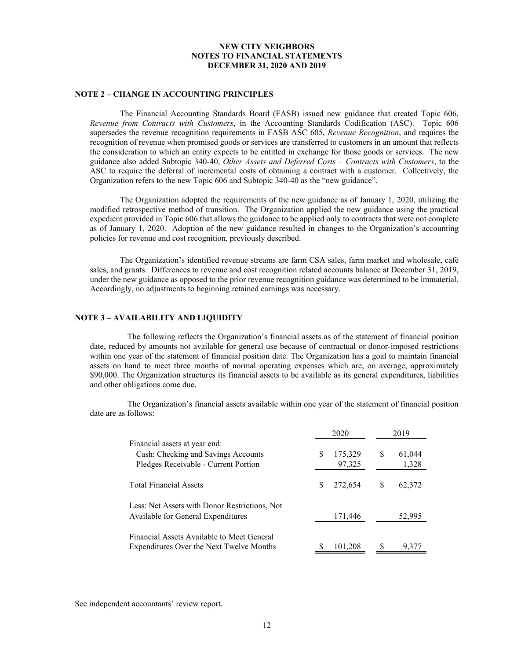#### **NOTE 2 – CHANGE IN ACCOUNTING PRINCIPLES**

The Financial Accounting Standards Board (FASB) issued new guidance that created Topic 606, *Revenue from Contracts with Customers*, in the Accounting Standards Codification (ASC). Topic 606 supersedes the revenue recognition requirements in FASB ASC 605, *Revenue Recognition*, and requires the recognition of revenue when promised goods or services are transferred to customers in an amount that reflects the consideration to which an entity expects to be entitled in exchange for those goods or services. The new guidance also added Subtopic 340-40, *Other Assets and Deferred Costs – Contracts with Customers*, to the ASC to require the deferral of incremental costs of obtaining a contract with a customer. Collectively, the Organization refers to the new Topic 606 and Subtopic 340-40 as the "new guidance".

The Organization adopted the requirements of the new guidance as of January 1, 2020, utilizing the modified retrospective method of transition. The Organization applied the new guidance using the practical expedient provided in Topic 606 that allows the guidance to be applied only to contracts that were not complete as of January 1, 2020. Adoption of the new guidance resulted in changes to the Organization's accounting policies for revenue and cost recognition, previously described.

The Organization's identified revenue streams are farm CSA sales, farm market and wholesale, café sales, and grants. Differences to revenue and cost recognition related accounts balance at December 31, 2019, under the new guidance as opposed to the prior revenue recognition guidance was determined to be immaterial. Accordingly, no adjustments to beginning retained earnings was necessary.

#### **NOTE 3 – AVAILABILITY AND LIQUIDITY**

The following reflects the Organization's financial assets as of the statement of financial position date, reduced by amounts not available for general use because of contractual or donor-imposed restrictions within one year of the statement of financial position date. The Organization has a goal to maintain financial assets on hand to meet three months of normal operating expenses which are, on average, approximately \$90,000. The Organization structures its financial assets to be available as its general expenditures, liabilities and other obligations come due.

The Organization's financial assets available within one year of the statement of financial position date are as follows:

|                                                                                                              |     | 2020              |   | 2019            |  |  |
|--------------------------------------------------------------------------------------------------------------|-----|-------------------|---|-----------------|--|--|
| Financial assets at year end:<br>Cash: Checking and Savings Accounts<br>Pledges Receivable - Current Portion | S   | 175,329<br>97,325 | S | 61,044<br>1,328 |  |  |
| <b>Total Financial Assets</b>                                                                                | \$. | 272,654           | S | 62,372          |  |  |
| Less: Net Assets with Donor Restrictions, Not<br>Available for General Expenditures                          |     | 171,446           |   | 52,995          |  |  |
| Financial Assets Available to Meet General<br>Expenditures Over the Next Twelve Months                       |     | 101,208           |   | 9,377           |  |  |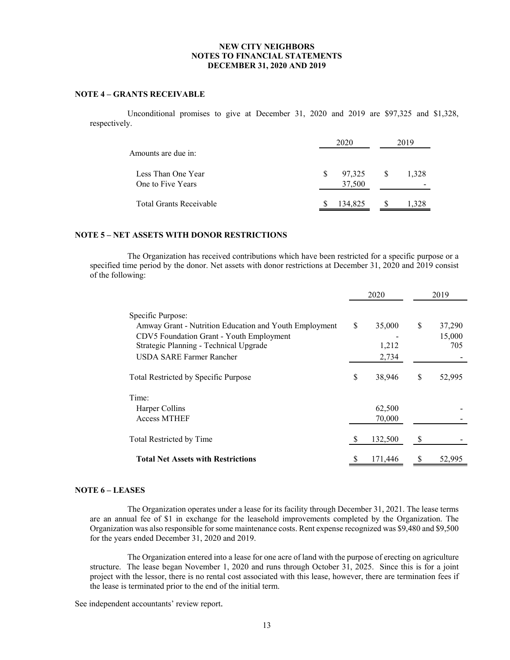#### **NOTE 4 – GRANTS RECEIVABLE**

Unconditional promises to give at December 31, 2020 and 2019 are \$97,325 and \$1,328, respectively.

| Amounts are due in:                     | 2020                         |    | 2019  |
|-----------------------------------------|------------------------------|----|-------|
| Less Than One Year<br>One to Five Years | 97,325<br><b>S</b><br>37,500 | -S | 1.328 |
| <b>Total Grants Receivable</b>          | 134.825                      |    |       |

# **NOTE 5 – NET ASSETS WITH DONOR RESTRICTIONS**

The Organization has received contributions which have been restricted for a specific purpose or a specified time period by the donor. Net assets with donor restrictions at December 31, 2020 and 2019 consist of the following:

|                                                                                                                                                                                               |    | 2020                     |    | 2019                    |
|-----------------------------------------------------------------------------------------------------------------------------------------------------------------------------------------------|----|--------------------------|----|-------------------------|
| Specific Purpose:<br>Amway Grant - Nutrition Education and Youth Employment<br>CDV5 Foundation Grant - Youth Employment<br>Strategic Planning - Technical Upgrade<br>USDA SARE Farmer Rancher | S  | 35,000<br>1,212<br>2,734 | \$ | 37,290<br>15,000<br>705 |
| Total Restricted by Specific Purpose                                                                                                                                                          | \$ | 38,946                   | \$ | 52,995                  |
| Time:<br>Harper Collins<br><b>Access MTHEF</b>                                                                                                                                                |    | 62,500<br>70,000         |    |                         |
| Total Restricted by Time                                                                                                                                                                      | S  | 132,500                  | S  |                         |
| <b>Total Net Assets with Restrictions</b>                                                                                                                                                     |    | 171,446                  | S  | 52,995                  |

# **NOTE 6 – LEASES**

The Organization operates under a lease for its facility through December 31, 2021. The lease terms are an annual fee of \$1 in exchange for the leasehold improvements completed by the Organization. The Organization was also responsible for some maintenance costs. Rent expense recognized was \$9,480 and \$9,500 for the years ended December 31, 2020 and 2019.

The Organization entered into a lease for one acre of land with the purpose of erecting on agriculture structure. The lease began November 1, 2020 and runs through October 31, 2025. Since this is for a joint project with the lessor, there is no rental cost associated with this lease, however, there are termination fees if the lease is terminated prior to the end of the initial term.